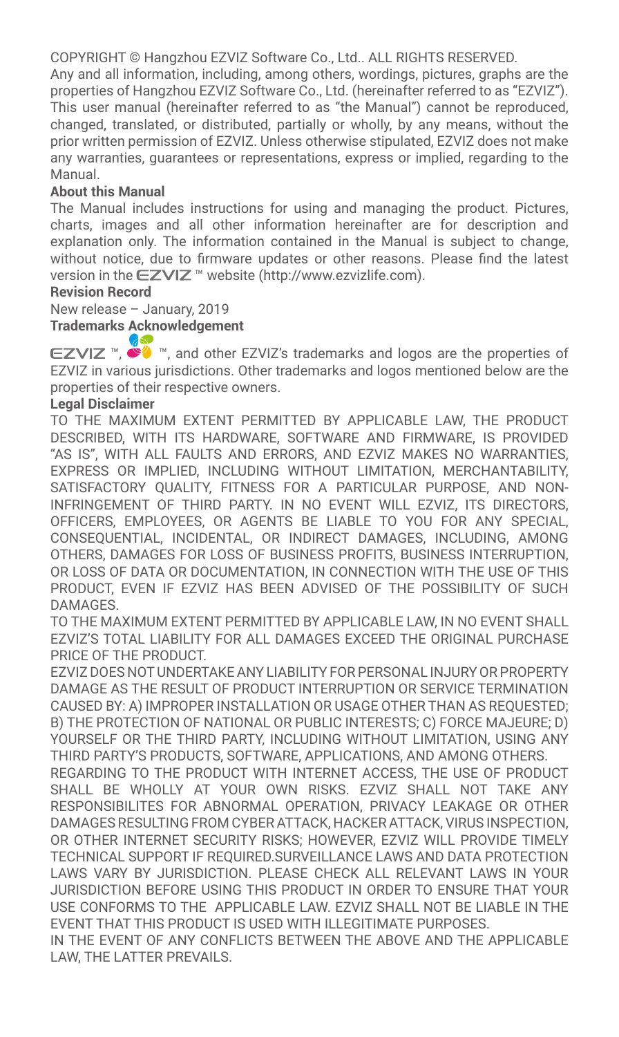COPYRIGHT © Hangzhou EZVIZ Software Co., Ltd.. ALL RIGHTS RESERVED.

Any and all information, including, among others, wordings, pictures, graphs are the properties of Hangzhou EZVIZ Software Co., Ltd. (hereinafter referred to as "EZVIZ"). This user manual (hereinafter referred to as "the Manual") cannot be reproduced, changed, translated, or distributed, partially or wholly, by any means, without the prior written permission of EZVIZ. Unless otherwise stipulated, EZVIZ does not make any warranties, guarantees or representations, express or implied, regarding to the Manual.

#### **About this Manual**

The Manual includes instructions for using and managing the product. Pictures, charts, images and all other information hereinafter are for description and explanation only. The information contained in the Manual is subject to change. without notice, due to firmware updates or other reasons. Please find the latest version in the EZVIZ™ website (http://www.ezvizlife.com).

#### **Revision Record**

New release – January, 2019

**Trademarks Acknowledgement**

 $\mathsf{EZVIZ} \cong \mathsf{W}$ , and other EZVIZ's trademarks and logos are the properties of EZVIZ in various jurisdictions. Other trademarks and logos mentioned below are the properties of their respective owners.

#### **Legal Disclaimer**

TO THE MAXIMUM EXTENT PERMITTED BY APPLICABLE LAW, THE PRODUCT DESCRIBED, WITH ITS HARDWARE, SOFTWARE AND FIRMWARE, IS PROVIDED "AS IS", WITH ALL FAULTS AND ERRORS, AND EZVIZ MAKES NO WARRANTIES, EXPRESS OR IMPLIED, INCLUDING WITHOUT LIMITATION, MERCHANTABILITY, SATISFACTORY OUALITY, FITNESS FOR A PARTICULAR PURPOSE, AND NON-INFRINGEMENT OF THIRD PARTY. IN NO EVENT WILL EZVIZ, ITS DIRECTORS, OFFICERS, EMPLOYEES, OR AGENTS BE LIABLE TO YOU FOR ANY SPECIAL, CONSEQUENTIAL, INCIDENTAL, OR INDIRECT DAMAGES, INCLUDING, AMONG OTHERS, DAMAGES FOR LOSS OF BUSINESS PROFITS, BUSINESS INTERRUPTION, OR LOSS OF DATA OR DOCUMENTATION, IN CONNECTION WITH THE USE OF THIS PRODUCT, EVEN IF EZVIZ HAS BEEN ADVISED OF THE POSSIBILITY OF SUCH **DAMAGES** 

TO THE MAXIMUM EXTENT PERMITTED BY APPLICABLE LAW, IN NO EVENT SHALL EZVIZ'S TOTAL LIABILITY FOR ALL DAMAGES EXCEED THE ORIGINAL PURCHASE PRICE OF THE PRODUCT.

EZVIZ DOES NOT UNDERTAKE ANY LIABILITY FOR PERSONAL INJURY OR PROPERTY DAMAGE AS THE RESULT OF PRODUCT INTERRUPTION OR SERVICE TERMINATION CAUSED BY: A) IMPROPER INSTALLATION OR USAGE OTHER THAN AS REQUESTED; B) THE PROTECTION OF NATIONAL OR PUBLIC INTERESTS; C) FORCE MAJEURE; D) YOURSELF OR THE THIRD PARTY, INCLUDING WITHOUT LIMITATION, USING ANY THIRD PARTY'S PRODUCTS, SOFTWARE, APPLICATIONS, AND AMONG OTHERS.

REGARDING TO THE PRODUCT WITH INTERNET ACCESS, THE USE OF PRODUCT SHALL BE WHOLLY AT YOUR OWN RISKS. EZVIZ SHALL NOT TAKE ANY RESPONSIBILITES FOR ABNORMAL OPERATION, PRIVACY LEAKAGE OR OTHER DAMAGES RESULTING FROM CYBER ATTACK, HACKER ATTACK, VIRUS INSPECTION, OR OTHER INTERNET SECURITY RISKS; HOWEVER, EZVIZ WILL PROVIDE TIMELY TECHNICAL SUPPORT IF REQUIRED.SURVEILLANCE LAWS AND DATA PROTECTION LAWS VARY BY JURISDICTION. PLEASE CHECK ALL RELEVANT LAWS IN YOUR JURISDICTION BEFORE USING THIS PRODUCT IN ORDER TO ENSURE THAT YOUR USE CONFORMS TO THE APPLICABLE LAW. EZVIZ SHALL NOT BE LIABLE IN THE EVENT THAT THIS PRODUCT IS USED WITH ILLEGITIMATE PURPOSES.

IN THE EVENT OF ANY CONFLICTS BETWEEN THE ABOVE AND THE APPLICABLE LAW, THE LATTER PREVAILS.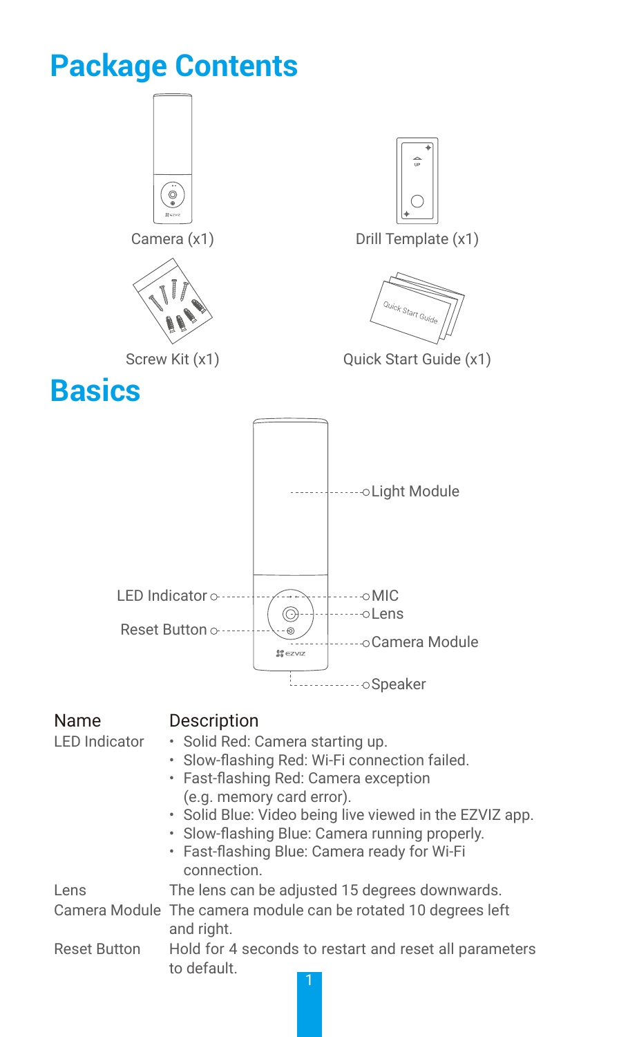# **Package Contents**



Reset Button Hold for 4 seconds to restart and reset all parameters to default.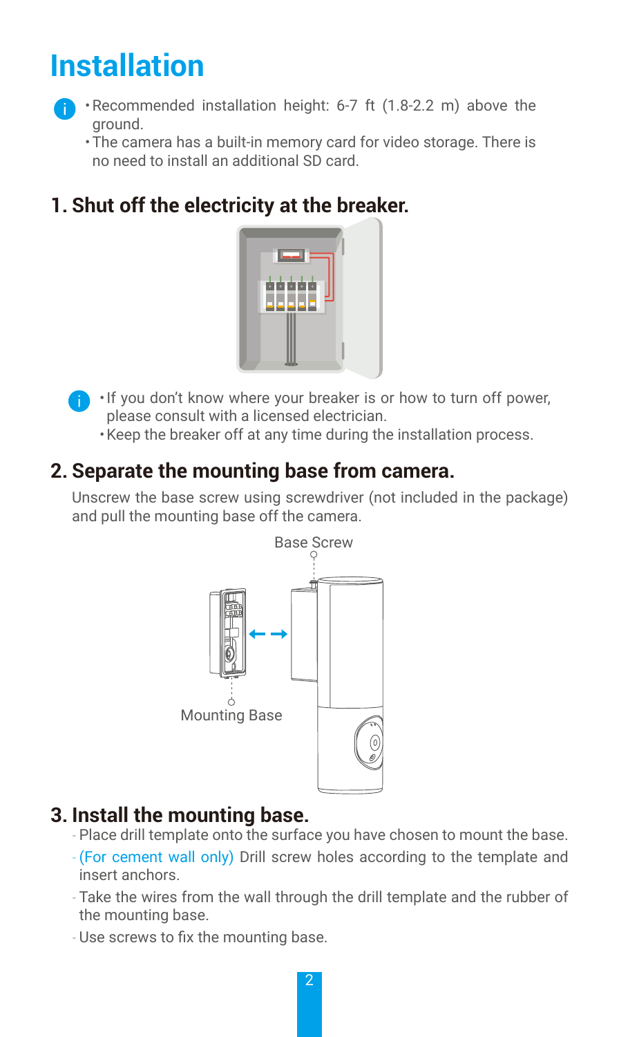# **Installation**



- •Recommended installation height: 6-7 ft (1.8-2.2 m) above the ground.
	- •The camera has a built-in memory card for video storage. There is no need to install an additional SD card.

## **1. Shut off the electricity at the breaker.**



- $\blacksquare$  If you don't know where your breaker is or how to turn off power, please consult with a licensed electrician.
	- •Keep the breaker off at any time during the installation process.

#### **2. Separate the mounting base from camera.**

Unscrew the base screw using screwdriver (not included in the package) and pull the mounting base off the camera.



### **3. Install the mounting base.**

- Place drill template onto the surface you have chosen to mount the base.
- -(For cement wall only) Drill screw holes according to the template and insert anchors.
- Take the wires from the wall through the drill template and the rubber of the mounting base.
- Use screws to fix the mounting base.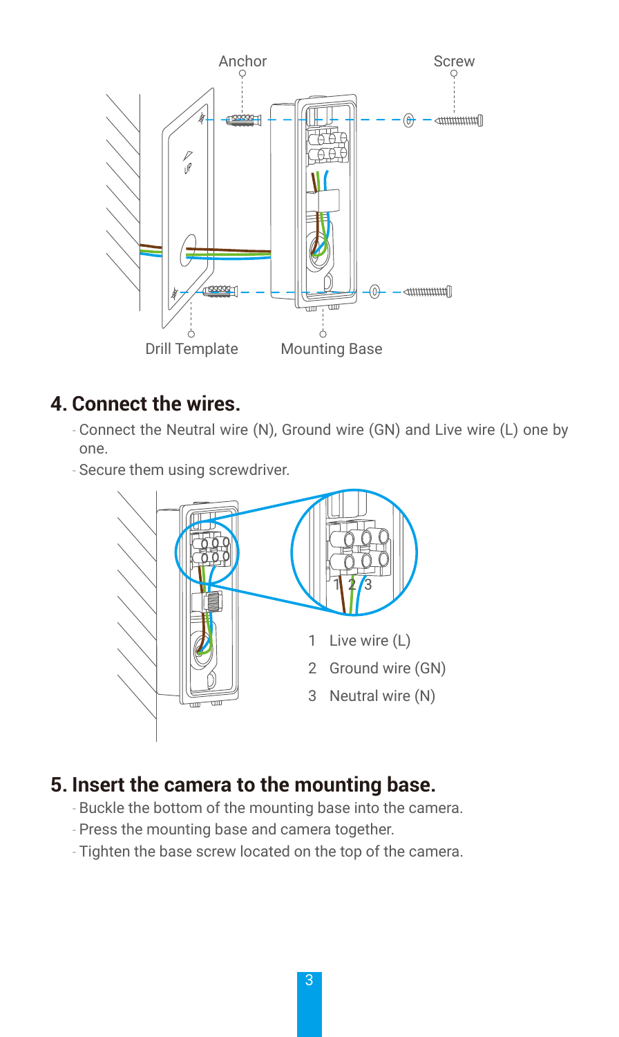

#### **4. Connect the wires.**

- Connect the Neutral wire (N), Ground wire (GN) and Live wire (L) one by one.
- Secure them using screwdriver.



### **5. Insert the camera to the mounting base.**

- Buckle the bottom of the mounting base into the camera.
- Press the mounting base and camera together.
- Tighten the base screw located on the top of the camera.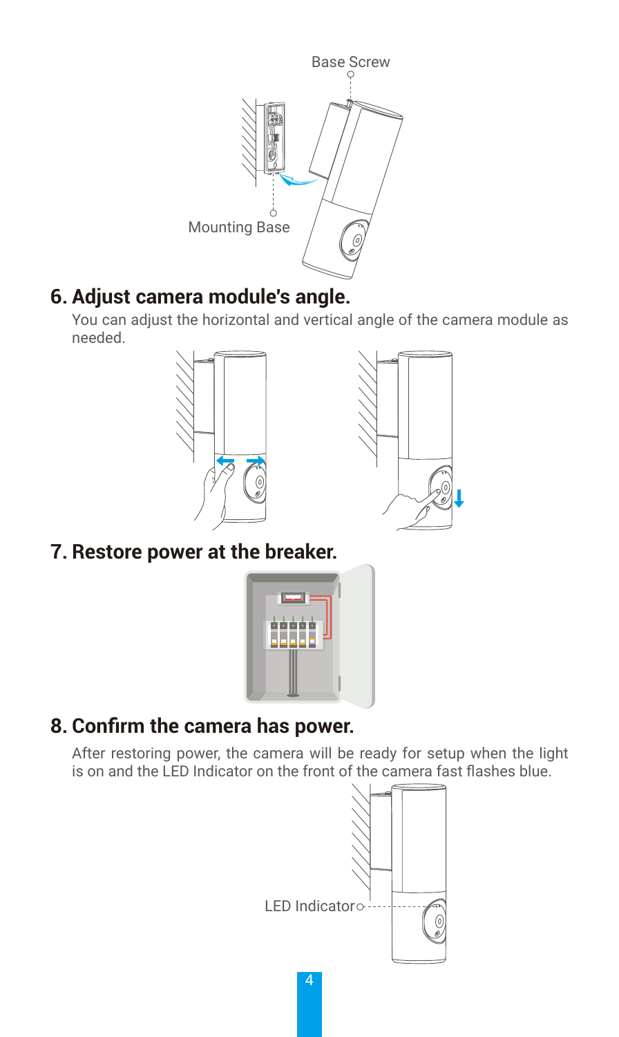

## **6. Adjust camera module's angle.**

You can adjust the horizontal and vertical angle of the camera module as needed.





**7. Restore power at the breaker.**



## **8. Confirm the camera has power.**

After restoring power, the camera will be ready for setup when the light is on and the LED Indicator on the front of the camera fast flashes blue.